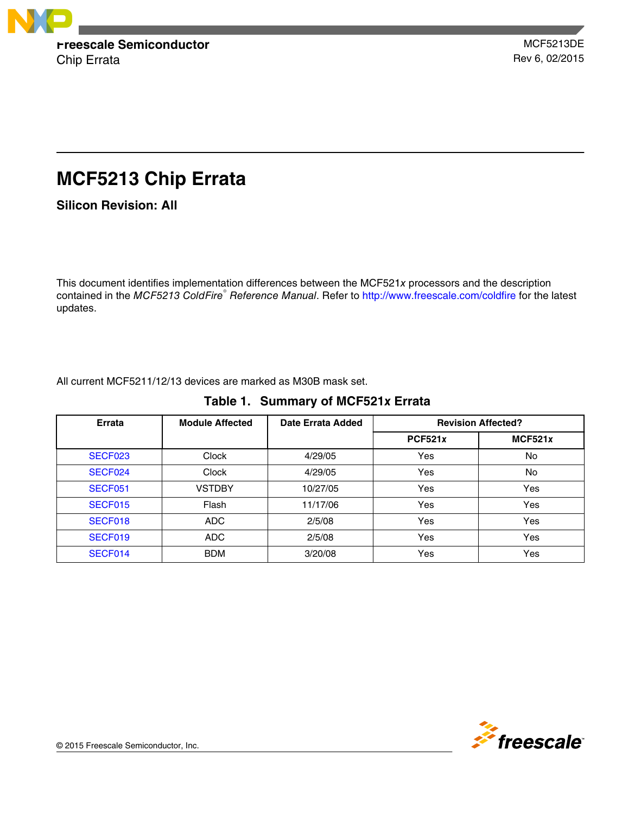

# **MCF5213 Chip Errata**

**Silicon Revision: All**

This document identifies implementation differences between the MCF521*x* processors and the description contained in the *MCF5213 ColdFire*<sup>®</sup> Reference Manual. Refer to http://www.freescale.com/coldfire for the latest updates.

All current MCF5211/12/13 devices are marked as M30B mask set.

|  |  | Table 1. Summary of MCF521x Errata |  |
|--|--|------------------------------------|--|
|--|--|------------------------------------|--|

| <b>Errata</b> | <b>Module Affected</b> | Date Errata Added |                | <b>Revision Affected?</b> |
|---------------|------------------------|-------------------|----------------|---------------------------|
|               |                        |                   | <b>PCF521x</b> | MCF521x                   |
| SECF023       | <b>Clock</b>           | 4/29/05           | Yes            | No.                       |
| SECF024       | <b>Clock</b>           | 4/29/05           | Yes            | <b>No</b>                 |
| SECF051       | <b>VSTDBY</b>          | 10/27/05          | Yes            | Yes                       |
| SECF015       | Flash                  | 11/17/06          | Yes            | Yes                       |
| SECF018       | <b>ADC</b>             | 2/5/08            | Yes            | Yes                       |
| SECF019       | ADC                    | 2/5/08            | Yes            | Yes                       |
| SECF014       | <b>BDM</b>             | 3/20/08           | Yes            | Yes                       |

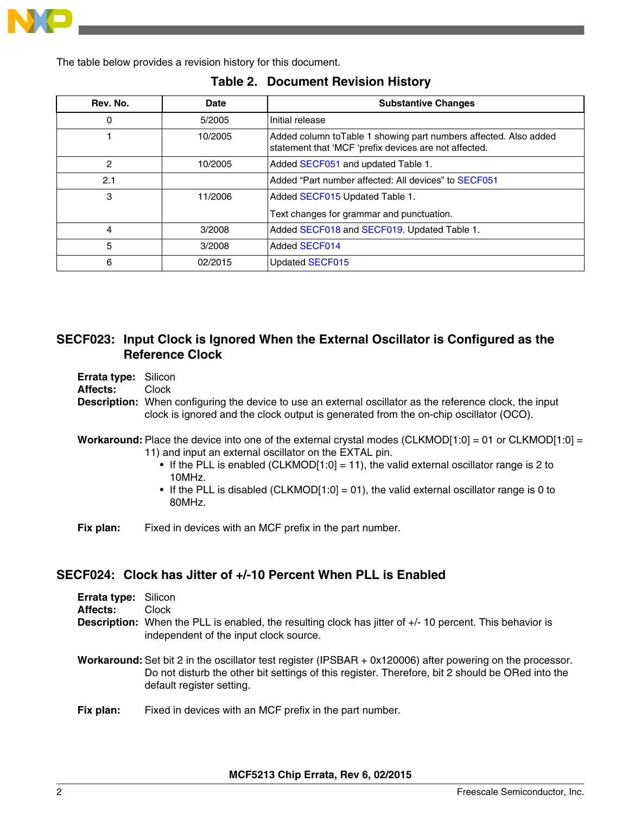<span id="page-1-0"></span>

The table below provides a revision history for this document.

| Rev. No. | Date    | <b>Substantive Changes</b>                                                                                                 |
|----------|---------|----------------------------------------------------------------------------------------------------------------------------|
| 0        | 5/2005  | Initial release                                                                                                            |
|          | 10/2005 | Added column to Table 1 showing part numbers affected. Also added<br>statement that 'MCF 'prefix devices are not affected. |
| 2        | 10/2005 | Added SECF051 and updated Table 1.                                                                                         |
| 2.1      |         | Added "Part number affected: All devices" to SECF051                                                                       |
| 3        | 11/2006 | Added SECF015 Updated Table 1.                                                                                             |
|          |         | Text changes for grammar and punctuation.                                                                                  |
| 4        | 3/2008  | Added SECF018 and SECF019. Updated Table 1.                                                                                |
| 5        | 3/2008  | <b>Added SECF014</b>                                                                                                       |
| 6        | 02/2015 | <b>Updated SECF015</b>                                                                                                     |

### **Table 2. Document Revision History**

## **SECF023: Input Clock is Ignored When the External Oscillator is Configured as the Reference Clock**

- **Errata type:** Silicon
- **Affects:** Clock

**Description:** When configuring the device to use an external oscillator as the reference clock, the input clock is ignored and the clock output is generated from the on-chip oscillator (OCO).

- **Workaround:** Place the device into one of the external crystal modes (CLKMOD[1:0] = 01 or CLKMOD[1:0] = 11) and input an external oscillator on the EXTAL pin.
	- If the PLL is enabled (CLKMOD[1:0] = 11), the valid external oscillator range is 2 to 10MHz.
	- If the PLL is disabled (CLKMOD[1:0] = 01), the valid external oscillator range is 0 to 80MHz.

**Fix plan:** Fixed in devices with an MCF prefix in the part number.

## **SECF024: Clock has Jitter of +/-10 Percent When PLL is Enabled**

| <b>Errata type: Silicon</b> |                                                                                                                                                                                                                                             |
|-----------------------------|---------------------------------------------------------------------------------------------------------------------------------------------------------------------------------------------------------------------------------------------|
| Affects:                    | Clock                                                                                                                                                                                                                                       |
|                             | <b>Description:</b> When the PLL is enabled, the resulting clock has jitter of $+/-10$ percent. This behavior is<br>independent of the input clock source.                                                                                  |
|                             | Workaround: Set bit 2 in the oscillator test register (IPSBAR + 0x120006) after powering on the processor.<br>Do not disturb the other bit settings of this register. Therefore, bit 2 should be ORed into the<br>default register setting. |
|                             | The contract of the contract of the contract of the contract of the contract of the contract of the contract of                                                                                                                             |

**Fix plan:** Fixed in devices with an MCF prefix in the part number.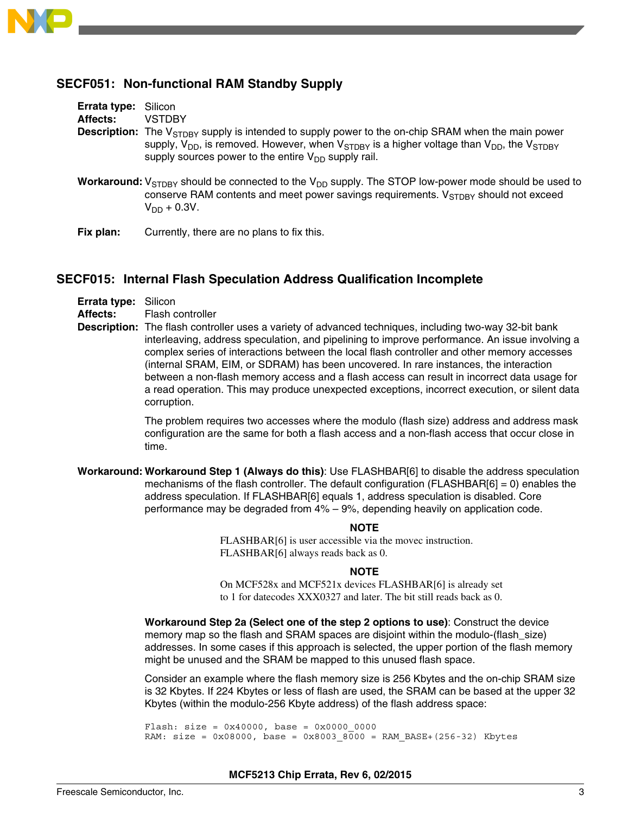<span id="page-2-0"></span>

## **SECF051: Non-functional RAM Standby Supply**

| Errata type: Silicon |                                                                                                                                                                                                                                                                                            |
|----------------------|--------------------------------------------------------------------------------------------------------------------------------------------------------------------------------------------------------------------------------------------------------------------------------------------|
| Affects:             | <b>VSTDBY</b>                                                                                                                                                                                                                                                                              |
|                      | <b>Description:</b> The $V_{STDRY}$ supply is intended to supply power to the on-chip SRAM when the main power<br>supply, $V_{DD}$ , is removed. However, when $V_{STDBY}$ is a higher voltage than $V_{DD}$ , the $V_{STDBY}$<br>supply sources power to the entire $V_{DD}$ supply rail. |
|                      | <b>Workaround:</b> $V_{\text{STDRY}}$ should be connected to the $V_{\text{DD}}$ supply. The STOP low-power mode should be used to<br>conserve RAM contents and meet power savings requirements. V <sub>STDBY</sub> should not exceed                                                      |

 $V_{DD} + 0.3V$ .

**Fix plan:** Currently, there are no plans to fix this.

## **SECF015: Internal Flash Speculation Address Qualification Incomplete**

| Errata type: Silicon |  |
|----------------------|--|
|----------------------|--|

**Affects:** Flash controller

**Description:** The flash controller uses a variety of advanced techniques, including two-way 32-bit bank interleaving, address speculation, and pipelining to improve performance. An issue involving a complex series of interactions between the local flash controller and other memory accesses (internal SRAM, EIM, or SDRAM) has been uncovered. In rare instances, the interaction between a non-flash memory access and a flash access can result in incorrect data usage for a read operation. This may produce unexpected exceptions, incorrect execution, or silent data corruption.

> The problem requires two accesses where the modulo (flash size) address and address mask configuration are the same for both a flash access and a non-flash access that occur close in time.

**Workaround: Workaround Step 1 (Always do this)**: Use FLASHBAR[6] to disable the address speculation mechanisms of the flash controller. The default configuration ( $FLASHBAR[6] = 0$ ) enables the address speculation. If FLASHBAR[6] equals 1, address speculation is disabled. Core performance may be degraded from 4% – 9%, depending heavily on application code.

#### **NOTE**

FLASHBAR[6] is user accessible via the movec instruction. FLASHBAR[6] always reads back as 0.

#### **NOTE**

On MCF528x and MCF521x devices FLASHBAR[6] is already set to 1 for datecodes XXX0327 and later. The bit still reads back as 0.

**Workaround Step 2a (Select one of the step 2 options to use)**: Construct the device memory map so the flash and SRAM spaces are disjoint within the modulo-(flash\_size) addresses. In some cases if this approach is selected, the upper portion of the flash memory might be unused and the SRAM be mapped to this unused flash space.

Consider an example where the flash memory size is 256 Kbytes and the on-chip SRAM size is 32 Kbytes. If 224 Kbytes or less of flash are used, the SRAM can be based at the upper 32 Kbytes (within the modulo-256 Kbyte address) of the flash address space:

Flash: size =  $0x40000$ , base =  $0x000000000$ RAM:  $size = 0x08000$ , base =  $0x80038000 =$  RAM BASE+(256-32) Kbytes

#### **MCF5213 Chip Errata, Rev 6, 02/2015**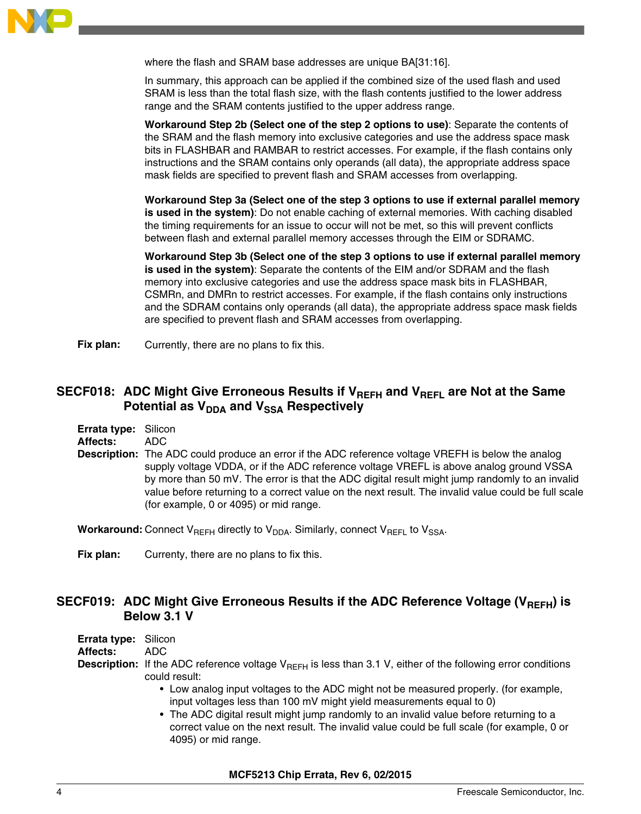<span id="page-3-0"></span>

where the flash and SRAM base addresses are unique BA[31:16].

In summary, this approach can be applied if the combined size of the used flash and used SRAM is less than the total flash size, with the flash contents justified to the lower address range and the SRAM contents justified to the upper address range.

**Workaround Step 2b (Select one of the step 2 options to use)**: Separate the contents of the SRAM and the flash memory into exclusive categories and use the address space mask bits in FLASHBAR and RAMBAR to restrict accesses. For example, if the flash contains only instructions and the SRAM contains only operands (all data), the appropriate address space mask fields are specified to prevent flash and SRAM accesses from overlapping.

**Workaround Step 3a (Select one of the step 3 options to use if external parallel memory is used in the system)**: Do not enable caching of external memories. With caching disabled the timing requirements for an issue to occur will not be met, so this will prevent conflicts between flash and external parallel memory accesses through the EIM or SDRAMC.

**Workaround Step 3b (Select one of the step 3 options to use if external parallel memory is used in the system)**: Separate the contents of the EIM and/or SDRAM and the flash memory into exclusive categories and use the address space mask bits in FLASHBAR, CSMRn, and DMRn to restrict accesses. For example, if the flash contains only instructions and the SDRAM contains only operands (all data), the appropriate address space mask fields are specified to prevent flash and SRAM accesses from overlapping.

**Fix plan:** Currently, there are no plans to fix this.

## SECF018: ADC Might Give Erroneous Results if V<sub>REFH</sub> and V<sub>REFL</sub> are Not at the Same **Potential as V<sub>DDA</sub>** and V<sub>SSA</sub> Respectively

**Errata type:** Silicon

**Affects:** ADC

**Description:** The ADC could produce an error if the ADC reference voltage VREFH is below the analog supply voltage VDDA, or if the ADC reference voltage VREFL is above analog ground VSSA by more than 50 mV. The error is that the ADC digital result might jump randomly to an invalid value before returning to a correct value on the next result. The invalid value could be full scale (for example, 0 or 4095) or mid range.

**Workaround:** Connect V<sub>RFFH</sub> directly to V<sub>DDA</sub>. Similarly, connect V<sub>RFFL</sub> to V<sub>SSA</sub>.

**Fix plan:** Currenty, there are no plans to fix this.

## SECF019: ADC Might Give Erroneous Results if the ADC Reference Voltage (V<sub>REFH</sub>) is **Below 3.1 V**

| <b>Errata type:</b> Silicon |                                                                                                                                                              |
|-----------------------------|--------------------------------------------------------------------------------------------------------------------------------------------------------------|
| Affects:                    | ADC.                                                                                                                                                         |
|                             | <b>Description:</b> If the ADC reference voltage $V_{BFEH}$ is less than 3.1 V, either of the following error conditions<br>could result:                    |
|                             | • Low analog input voltages to the ADC might not be measured properly. (for example,<br>input voltages less than 100 mV might yield measurements equal to 0) |

• The ADC digital result might jump randomly to an invalid value before returning to a correct value on the next result. The invalid value could be full scale (for example, 0 or 4095) or mid range.

#### **MCF5213 Chip Errata, Rev 6, 02/2015**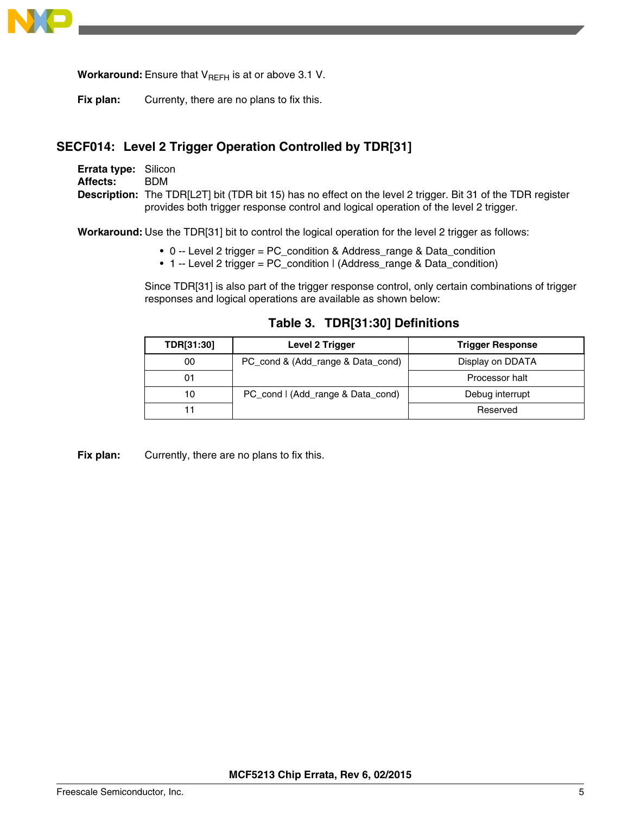<span id="page-4-0"></span>

**Workaround:** Ensure that  $V_{REFH}$  is at or above 3.1 V.

**Fix plan:** Currenty, there are no plans to fix this.

# **SECF014: Level 2 Trigger Operation Controlled by TDR[31]**

| <b>Errata type: Silicon</b> |                                                                                                                    |
|-----------------------------|--------------------------------------------------------------------------------------------------------------------|
| <b>Affects:</b>             | <b>BDM</b>                                                                                                         |
|                             | <b>Description:</b> The TDR[L2T] bit (TDR bit 15) has no effect on the level 2 trigger. Bit 31 of the TDR register |
|                             | provides both trigger response control and logical operation of the level 2 trigger.                               |

**Workaround:** Use the TDR[31] bit to control the logical operation for the level 2 trigger as follows:

- 0 -- Level 2 trigger = PC\_condition & Address\_range & Data\_condition
- 1 -- Level 2 trigger = PC\_condition | (Address\_range & Data\_condition)

Since TDR[31] is also part of the trigger response control, only certain combinations of trigger responses and logical operations are available as shown below:

| TDR[31:30] | Level 2 Trigger                   | <b>Trigger Response</b> |
|------------|-----------------------------------|-------------------------|
| 00         | PC_cond & (Add_range & Data_cond) | Display on DDATA        |
|            |                                   | Processor halt          |
| 10         | PC_cond   (Add_range & Data_cond) | Debug interrupt         |
|            |                                   | Reserved                |

**Table 3. TDR[31:30] Definitions**

Fix plan: Currently, there are no plans to fix this.